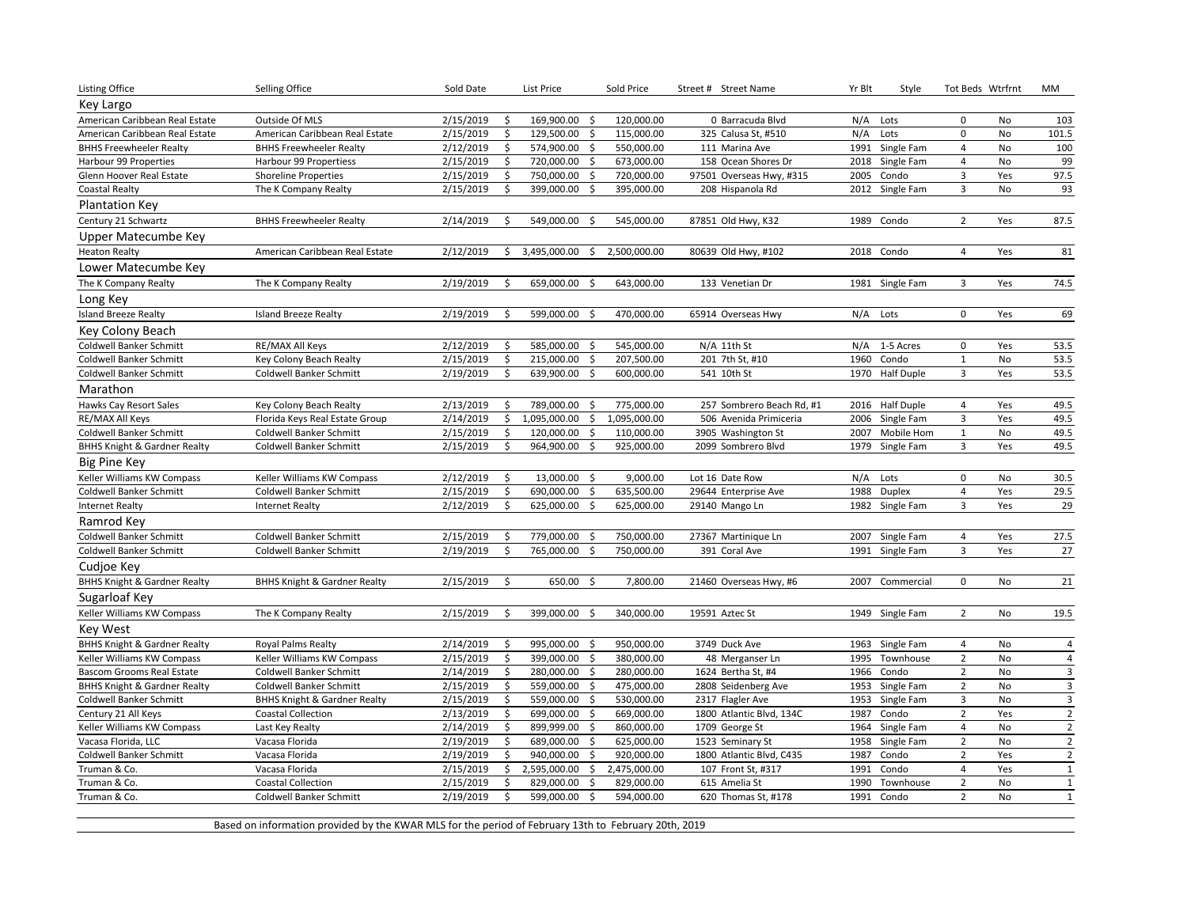| <b>Listing Office</b>                   | Selling Office                          | Sold Date | List Price    |                                    | Sold Price   |            | Street # Street Name      | Yr Blt | Style           | Tot Beds Wtrfrnt        |           | MM                      |
|-----------------------------------------|-----------------------------------------|-----------|---------------|------------------------------------|--------------|------------|---------------------------|--------|-----------------|-------------------------|-----------|-------------------------|
| Key Largo                               |                                         |           |               |                                    |              |            |                           |        |                 |                         |           |                         |
| American Caribbean Real Estate          | Outside Of MLS                          | 2/15/2019 | \$            | 169,900.00 \$                      |              | 120,000.00 | 0 Barracuda Blvd          | N/A    | Lots            | $\mathbf 0$             | <b>No</b> | 103                     |
| American Caribbean Real Estate          | American Caribbean Real Estate          | 2/15/2019 | \$            | 129,500.00 \$                      |              | 115,000.00 | 325 Calusa St, #510       | N/A    | Lots            | $\mathbf 0$             | <b>No</b> | 101.5                   |
| <b>BHHS Freewheeler Realty</b>          | <b>BHHS Freewheeler Realty</b>          | 2/12/2019 | \$            | 574,900.00<br>-\$                  |              | 550,000.00 | 111 Marina Ave            | 1991   | Single Fam      | $\overline{4}$          | No        | 100                     |
| Harbour 99 Properties                   | Harbour 99 Propertiess                  | 2/15/2019 | \$            | 720,000.00<br>-\$                  |              | 673,000.00 | 158 Ocean Shores Dr       | 2018   | Single Fam      | $\overline{4}$          | No        | 99                      |
| Glenn Hoover Real Estate                | <b>Shoreline Properties</b>             | 2/15/2019 | $\mathsf{\$}$ | 750,000.00<br>-\$                  |              | 720,000.00 | 97501 Overseas Hwy, #315  | 2005   | Condo           | $\overline{3}$          | Yes       | 97.5                    |
| <b>Coastal Realty</b>                   | The K Company Realty                    | 2/15/2019 | \$            | 399,000.00<br>\$                   |              | 395,000.00 | 208 Hispanola Rd          |        | 2012 Single Fam | 3                       | No        | 93                      |
| <b>Plantation Key</b>                   |                                         |           |               |                                    |              |            |                           |        |                 |                         |           |                         |
| Century 21 Schwartz                     | <b>BHHS Freewheeler Realty</b>          | 2/14/2019 | \$            | 549,000.00<br>Ŝ.                   |              | 545,000.00 | 87851 Old Hwy, K32        |        | 1989 Condo      | $\overline{2}$          | Yes       | 87.5                    |
| Upper Matecumbe Key                     |                                         |           |               |                                    |              |            |                           |        |                 |                         |           |                         |
| <b>Heaton Realty</b>                    | American Caribbean Real Estate          | 2/12/2019 |               | \$3,495,000.00\$                   | 2,500,000.00 |            | 80639 Old Hwy, #102       |        | 2018 Condo      | $\overline{4}$          | Yes       | 81                      |
| Lower Matecumbe Key                     |                                         |           |               |                                    |              |            |                           |        |                 |                         |           |                         |
| The K Company Realty                    | The K Company Realty                    | 2/19/2019 | \$            | 659,000.00<br>-\$                  |              | 643,000.00 | 133 Venetian Dr           | 1981   | Single Fam      | 3                       | Yes       | 74.5                    |
| Long Key                                |                                         |           |               |                                    |              |            |                           |        |                 |                         |           |                         |
| <b>Island Breeze Realty</b>             |                                         | 2/19/2019 | \$            | 599,000.00<br>- \$                 |              | 470,000.00 |                           | N/A    | Lots            | $\mathbf 0$             | Yes       | 69                      |
|                                         | <b>Island Breeze Realty</b>             |           |               |                                    |              |            | 65914 Overseas Hwy        |        |                 |                         |           |                         |
| Key Colony Beach                        |                                         |           |               |                                    |              |            |                           |        |                 |                         |           |                         |
| Coldwell Banker Schmitt                 | <b>RE/MAX All Keys</b>                  | 2/12/2019 | \$            | 585,000.00 \$                      |              | 545,000.00 | N/A 11th St               | N/A    | 1-5 Acres       | $\mathbf 0$             | Yes       | 53.5                    |
| <b>Coldwell Banker Schmitt</b>          | Key Colony Beach Realty                 | 2/15/2019 | \$            | 215,000.00 \$                      |              | 207,500.00 | 201 7th St, #10           | 1960   | Condo           | $\mathbf{1}$            | <b>No</b> | 53.5                    |
| Coldwell Banker Schmitt                 | Coldwell Banker Schmitt                 | 2/19/2019 | \$            | 639,900.00<br>-\$                  |              | 600,000.00 | 541 10th St               |        | 1970 Half Duple | $\overline{3}$          | Yes       | 53.5                    |
| Marathon                                |                                         |           |               |                                    |              |            |                           |        |                 |                         |           |                         |
| Hawks Cay Resort Sales                  | Key Colony Beach Realty                 | 2/13/2019 | Ŝ.            | 789,000.00 \$                      |              | 775,000.00 | 257 Sombrero Beach Rd, #1 |        | 2016 Half Duple | $\overline{4}$          | Yes       | 49.5                    |
| RE/MAX All Keys                         | Florida Keys Real Estate Group          | 2/14/2019 | \$            | 1,095,000.00<br>-\$                | 1,095,000.00 |            | 506 Avenida Primiceria    |        | 2006 Single Fam | $\overline{\mathbf{3}}$ | Yes       | 49.5                    |
| Coldwell Banker Schmitt                 | Coldwell Banker Schmitt                 | 2/15/2019 | \$            | 120,000.00 \$                      |              | 110,000.00 | 3905 Washington St        | 2007   | Mobile Hom      | $\mathbf{1}$            | No        | 49.5                    |
| <b>BHHS Knight &amp; Gardner Realty</b> | Coldwell Banker Schmitt                 | 2/15/2019 | \$            | 964,900.00 \$                      |              | 925,000.00 | 2099 Sombrero Blvd        |        | 1979 Single Fam | 3                       | Yes       | 49.5                    |
| Big Pine Key                            |                                         |           |               |                                    |              |            |                           |        |                 |                         |           |                         |
| Keller Williams KW Compass              | Keller Williams KW Compass              | 2/12/2019 | \$            | 13,000.00 \$                       |              | 9,000.00   | Lot 16 Date Row           | N/A    | Lots            | $\pmb{0}$               | No        | 30.5                    |
| Coldwell Banker Schmitt                 | Coldwell Banker Schmitt                 | 2/15/2019 | \$            | 690,000.00<br>\$                   |              | 635,500.00 | 29644 Enterprise Ave      | 1988   | Duplex          | $\overline{4}$          | Yes       | 29.5                    |
| <b>Internet Realty</b>                  | <b>Internet Realty</b>                  | 2/12/2019 | \$            | 625,000.00<br>\$                   |              | 625,000.00 | 29140 Mango Ln            |        | 1982 Single Fam | 3                       | Yes       | 29                      |
| Ramrod Key                              |                                         |           |               |                                    |              |            |                           |        |                 |                         |           |                         |
| <b>Coldwell Banker Schmitt</b>          | Coldwell Banker Schmitt                 | 2/15/2019 | \$            | 779,000.00<br>-\$                  |              | 750,000.00 | 27367 Martinique Ln       | 2007   | Single Fam      | $\overline{4}$          | Yes       | 27.5                    |
| Coldwell Banker Schmitt                 | Coldwell Banker Schmitt                 | 2/19/2019 | \$            | 765,000.00<br>\$                   |              | 750,000.00 | 391 Coral Ave             | 1991   | Single Fam      | $\mathbf{3}$            | Yes       | 27                      |
| Cudjoe Key                              |                                         |           |               |                                    |              |            |                           |        |                 |                         |           |                         |
| <b>BHHS Knight &amp; Gardner Realty</b> | <b>BHHS Knight &amp; Gardner Realty</b> | 2/15/2019 | \$            | 650.00 \$                          |              | 7,800.00   | 21460 Overseas Hwy, #6    |        | 2007 Commercial | 0                       | No        | 21                      |
| Sugarloaf Key                           |                                         |           |               |                                    |              |            |                           |        |                 |                         |           |                         |
| Keller Williams KW Compass              | The K Company Realty                    | 2/15/2019 | \$            | 399,000.00<br>-\$                  |              | 340,000.00 | 19591 Aztec St            |        | 1949 Single Fam | $\overline{2}$          | No        | 19.5                    |
| <b>Key West</b>                         |                                         |           |               |                                    |              |            |                           |        |                 |                         |           |                         |
| <b>BHHS Knight &amp; Gardner Realty</b> | Royal Palms Realty                      | 2/14/2019 | \$            | 995,000.00<br>- \$                 |              | 950,000.00 | 3749 Duck Ave             | 1963   | Single Fam      | $\overline{4}$          | No        | $\overline{4}$          |
| Keller Williams KW Compass              | Keller Williams KW Compass              | 2/15/2019 | \$            | 399,000.00<br>- \$                 |              | 380,000.00 | 48 Merganser Ln           | 1995   | Townhouse       | $\overline{2}$          | <b>No</b> | 4                       |
| Bascom Grooms Real Estate               | Coldwell Banker Schmitt                 | 2/14/2019 | \$            | 280,000.00<br>-\$                  |              | 280,000.00 | 1624 Bertha St, #4        | 1966   | Condo           | $\overline{2}$          | No        | $\overline{\mathbf{3}}$ |
| <b>BHHS Knight &amp; Gardner Realty</b> | Coldwell Banker Schmitt                 | 2/15/2019 | \$            | 559,000.00<br>-\$                  |              | 475,000.00 | 2808 Seidenberg Ave       | 1953   | Single Fam      | $\overline{2}$          | No        | $\mathbf{3}$            |
| Coldwell Banker Schmitt                 | <b>BHHS Knight &amp; Gardner Realty</b> | 2/15/2019 | \$            | 559,000.00<br>\$                   |              | 530,000.00 | 2317 Flagler Ave          | 1953   | Single Fam      | $\mathbf{3}$            | No        | $\mathsf 3$             |
| Century 21 All Keys                     | <b>Coastal Collection</b>               | 2/13/2019 | \$            | 699,000.00 \$                      |              | 669,000.00 | 1800 Atlantic Blvd, 134C  | 1987   | Condo           | $\overline{2}$          | Yes       | $\overline{2}$          |
| Keller Williams KW Compass              | Last Key Realty                         | 2/14/2019 | \$            | 899,999.00 \$                      |              | 860,000.00 | 1709 George St            | 1964   | Single Fam      | $\overline{4}$          | No        | $\overline{2}$          |
| Vacasa Florida, LLC                     | Vacasa Florida                          | 2/19/2019 | \$            | 689,000.00<br>- \$                 |              | 625,000.00 | 1523 Seminary St          | 1958   | Single Fam      | $\overline{2}$          | <b>No</b> | $\overline{2}$          |
| Coldwell Banker Schmitt                 | Vacasa Florida                          | 2/19/2019 | \$            | 940,000.00<br>-\$                  |              | 920,000.00 | 1800 Atlantic Blvd, C435  | 1987   | Condo           | $\mathbf 2$             | Yes       | $\overline{2}$          |
| Truman & Co.                            | Vacasa Florida                          | 2/15/2019 | \$            | 2,595,000.00<br>$\ddot{\varsigma}$ | 2,475,000.00 |            | 107 Front St, #317        | 1991   | Condo           | $\overline{4}$          | Yes       | $\mathbf 1$             |
| Truman & Co.                            | <b>Coastal Collection</b>               | 2/15/2019 | \$            | 829,000.00<br>S.                   |              | 829,000.00 | 615 Amelia St             | 1990   | Townhouse       | $\overline{2}$          | No        | $\mathbf 1$             |
| Truman & Co.                            | Coldwell Banker Schmitt                 | 2/19/2019 | \$            | 599,000.00<br>S.                   |              | 594,000.00 | 620 Thomas St, #178       | 1991   | Condo           | $\overline{2}$          | <b>No</b> | $\mathbf{1}$            |
|                                         |                                         |           |               |                                    |              |            |                           |        |                 |                         |           |                         |

Based on information provided by the KWAR MLS for the period of February 13th to February 20th, 2019